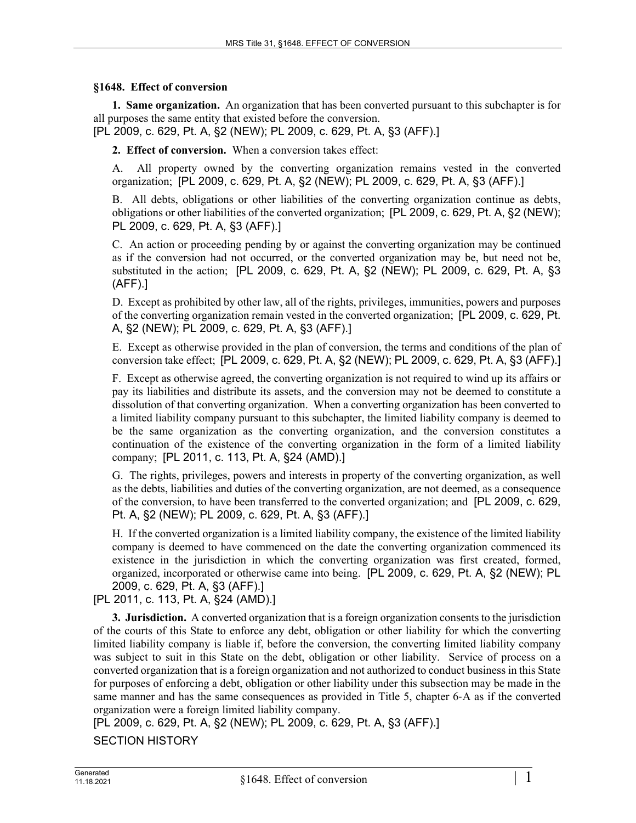## **§1648. Effect of conversion**

**1. Same organization.** An organization that has been converted pursuant to this subchapter is for all purposes the same entity that existed before the conversion.

[PL 2009, c. 629, Pt. A, §2 (NEW); PL 2009, c. 629, Pt. A, §3 (AFF).]

**2. Effect of conversion.** When a conversion takes effect:

A. All property owned by the converting organization remains vested in the converted organization; [PL 2009, c. 629, Pt. A, §2 (NEW); PL 2009, c. 629, Pt. A, §3 (AFF).]

B. All debts, obligations or other liabilities of the converting organization continue as debts, obligations or other liabilities of the converted organization; [PL 2009, c. 629, Pt. A, §2 (NEW); PL 2009, c. 629, Pt. A, §3 (AFF).]

C. An action or proceeding pending by or against the converting organization may be continued as if the conversion had not occurred, or the converted organization may be, but need not be, substituted in the action; [PL 2009, c. 629, Pt. A, §2 (NEW); PL 2009, c. 629, Pt. A, §3 (AFF).]

D. Except as prohibited by other law, all of the rights, privileges, immunities, powers and purposes of the converting organization remain vested in the converted organization; [PL 2009, c. 629, Pt. A, §2 (NEW); PL 2009, c. 629, Pt. A, §3 (AFF).]

E. Except as otherwise provided in the plan of conversion, the terms and conditions of the plan of conversion take effect; [PL 2009, c. 629, Pt. A, §2 (NEW); PL 2009, c. 629, Pt. A, §3 (AFF).]

F. Except as otherwise agreed, the converting organization is not required to wind up its affairs or pay its liabilities and distribute its assets, and the conversion may not be deemed to constitute a dissolution of that converting organization. When a converting organization has been converted to a limited liability company pursuant to this subchapter, the limited liability company is deemed to be the same organization as the converting organization, and the conversion constitutes a continuation of the existence of the converting organization in the form of a limited liability company; [PL 2011, c. 113, Pt. A, §24 (AMD).]

G. The rights, privileges, powers and interests in property of the converting organization, as well as the debts, liabilities and duties of the converting organization, are not deemed, as a consequence of the conversion, to have been transferred to the converted organization; and [PL 2009, c. 629, Pt. A, §2 (NEW); PL 2009, c. 629, Pt. A, §3 (AFF).]

H. If the converted organization is a limited liability company, the existence of the limited liability company is deemed to have commenced on the date the converting organization commenced its existence in the jurisdiction in which the converting organization was first created, formed, organized, incorporated or otherwise came into being. [PL 2009, c. 629, Pt. A, §2 (NEW); PL 2009, c. 629, Pt. A, §3 (AFF).]

[PL 2011, c. 113, Pt. A, §24 (AMD).]

**3. Jurisdiction.** A converted organization that is a foreign organization consents to the jurisdiction of the courts of this State to enforce any debt, obligation or other liability for which the converting limited liability company is liable if, before the conversion, the converting limited liability company was subject to suit in this State on the debt, obligation or other liability. Service of process on a converted organization that is a foreign organization and not authorized to conduct business in this State for purposes of enforcing a debt, obligation or other liability under this subsection may be made in the same manner and has the same consequences as provided in Title 5, chapter 6-A as if the converted organization were a foreign limited liability company.

[PL 2009, c. 629, Pt. A, §2 (NEW); PL 2009, c. 629, Pt. A, §3 (AFF).]

SECTION HISTORY